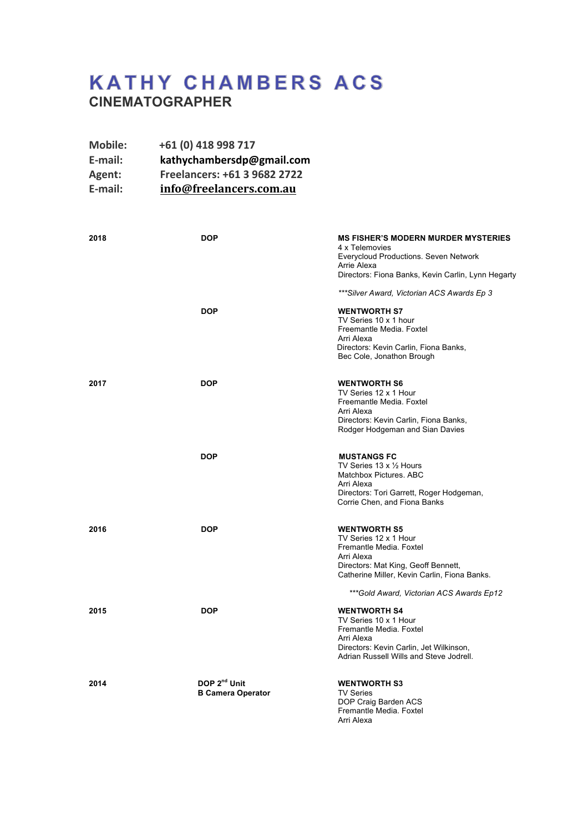# **KATHY CHAMBERS ACS CINEMATOGRAPHER**

| <b>Mobile:</b> | +61 (0) 418 998 717          |
|----------------|------------------------------|
| E-mail:        | kathychambersdp@gmail.com    |
| Agent:         | Freelancers: +61 3 9682 2722 |
| E-mail:        | info@freelancers.com.au      |

| 2018 | <b>DOP</b>                                           | <b>MS FISHER'S MODERN MURDER MYSTERIES</b><br>4 x Telemovies<br>Everycloud Productions. Seven Network<br>Arrie Alexa<br>Directors: Fiona Banks, Kevin Carlin, Lynn Hegarty<br>***Silver Award, Victorian ACS Awards Ep 3 |
|------|------------------------------------------------------|--------------------------------------------------------------------------------------------------------------------------------------------------------------------------------------------------------------------------|
|      | <b>DOP</b>                                           | <b>WENTWORTH S7</b><br>TV Series 10 x 1 hour<br>Freemantle Media, Foxtel<br>Arri Alexa<br>Directors: Kevin Carlin, Fiona Banks,<br>Bec Cole, Jonathon Brough                                                             |
| 2017 | <b>DOP</b>                                           | <b>WENTWORTH S6</b><br>TV Series 12 x 1 Hour<br>Freemantle Media, Foxtel<br>Arri Alexa<br>Directors: Kevin Carlin, Fiona Banks,<br>Rodger Hodgeman and Sian Davies                                                       |
|      | <b>DOP</b>                                           | <b>MUSTANGS FC</b><br>TV Series 13 x 1/2 Hours<br>Matchbox Pictures. ABC<br>Arri Alexa<br>Directors: Tori Garrett, Roger Hodgeman,<br>Corrie Chen, and Fiona Banks                                                       |
| 2016 | <b>DOP</b>                                           | <b>WENTWORTH S5</b><br>TV Series 12 x 1 Hour<br>Fremantle Media, Foxtel<br>Arri Alexa<br>Directors: Mat King, Geoff Bennett,<br>Catherine Miller, Kevin Carlin, Fiona Banks.                                             |
| 2015 | <b>DOP</b>                                           | ***Gold Award, Victorian ACS Awards Ep12<br><b>WENTWORTH S4</b><br>TV Series 10 x 1 Hour<br>Fremantle Media. Foxtel<br>Arri Alexa<br>Directors: Kevin Carlin, Jet Wilkinson,<br>Adrian Russell Wills and Steve Jodrell.  |
| 2014 | DOP 2 <sup>nd</sup> Unit<br><b>B Camera Operator</b> | <b>WENTWORTH S3</b><br><b>TV Series</b><br>DOP Craig Barden ACS<br>Fremantle Media. Foxtel<br>Arri Alexa                                                                                                                 |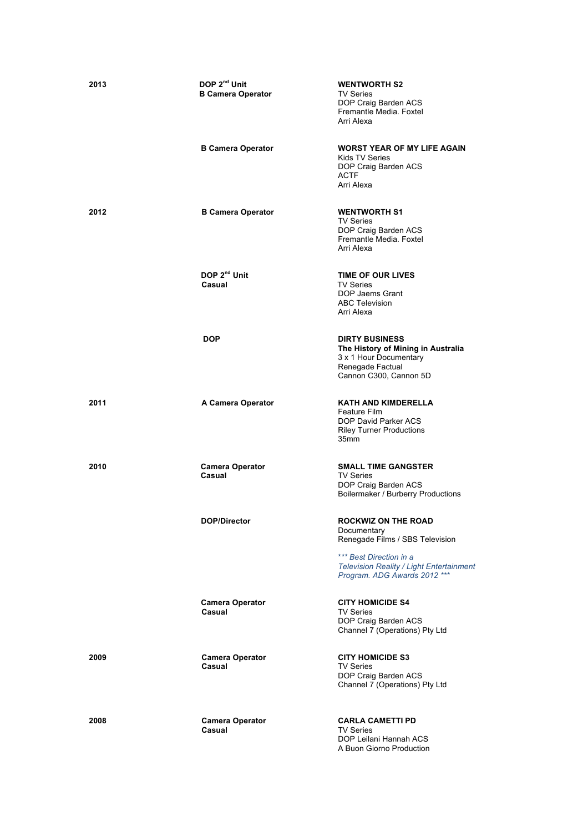| 2013 | DOP 2 <sup>nd</sup> Unit<br><b>B Camera Operator</b><br><b>B Camera Operator</b> | <b>WENTWORTH S2</b><br>TV Series<br>DOP Craig Barden ACS<br>Fremantle Media. Foxtel<br>Arri Alexa<br><b>WORST YEAR OF MY LIFE AGAIN</b>                                             |
|------|----------------------------------------------------------------------------------|-------------------------------------------------------------------------------------------------------------------------------------------------------------------------------------|
|      |                                                                                  | Kids TV Series<br>DOP Craig Barden ACS<br>ACTF<br>Arri Alexa                                                                                                                        |
| 2012 | <b>B Camera Operator</b>                                                         | <b>WENTWORTH S1</b><br><b>TV Series</b><br>DOP Craig Barden ACS<br>Fremantle Media. Foxtel<br>Arri Alexa                                                                            |
|      | DOP 2 <sup>nd</sup> Unit<br>Casual                                               | <b>TIME OF OUR LIVES</b><br><b>TV Series</b><br>DOP Jaems Grant<br><b>ABC Television</b><br>Arri Alexa                                                                              |
|      | <b>DOP</b>                                                                       | <b>DIRTY BUSINESS</b><br>The History of Mining in Australia<br>3 x 1 Hour Documentary<br>Renegade Factual<br>Cannon C300, Cannon 5D                                                 |
| 2011 | A Camera Operator                                                                | <b>KATH AND KIMDERELLA</b><br>Feature Film<br>DOP David Parker ACS<br><b>Riley Turner Productions</b><br>35mm                                                                       |
| 2010 | <b>Camera Operator</b><br>Casual                                                 | <b>SMALL TIME GANGSTER</b><br><b>TV Series</b><br>DOP Craig Barden ACS<br>Boilermaker / Burberry Productions                                                                        |
|      | DOP/Director                                                                     | <b>ROCKWIZ ON THE ROAD</b><br>Documentary<br>Renegade Films / SBS Television<br>*** Best Direction in a<br>Television Reality / Light Entertainment<br>Program. ADG Awards 2012 *** |
|      | <b>Camera Operator</b><br>Casual                                                 | <b>CITY HOMICIDE S4</b><br><b>TV Series</b><br>DOP Craig Barden ACS<br>Channel 7 (Operations) Pty Ltd                                                                               |
| 2009 | <b>Camera Operator</b><br>Casual                                                 | <b>CITY HOMICIDE S3</b><br><b>TV Series</b><br>DOP Craig Barden ACS<br>Channel 7 (Operations) Pty Ltd                                                                               |
| 2008 | <b>Camera Operator</b><br>Casual                                                 | <b>CARLA CAMETTI PD</b><br><b>TV Series</b><br>DOP Leilani Hannah ACS<br>A Buon Giorno Production                                                                                   |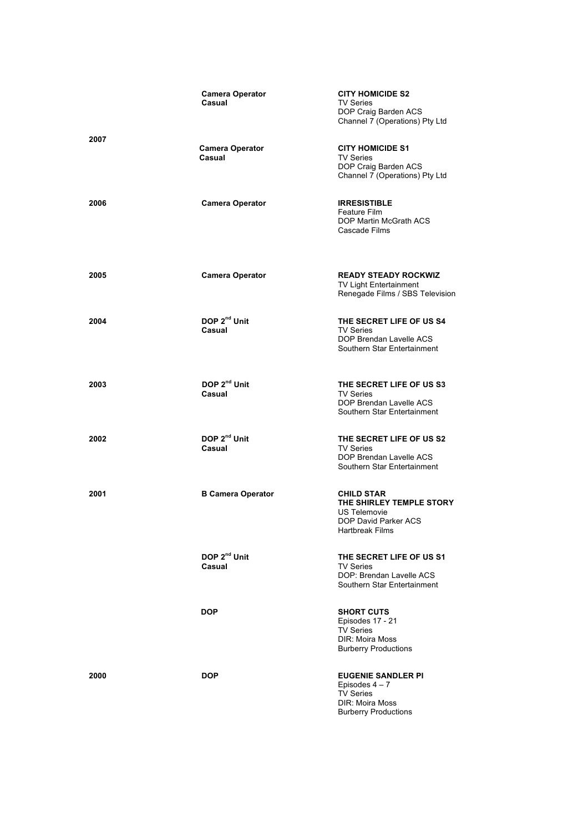|      | <b>Camera Operator</b><br>Casual   | <b>CITY HOMICIDE S2</b><br><b>TV Series</b><br>DOP Craig Barden ACS<br>Channel 7 (Operations) Pty Ltd                    |
|------|------------------------------------|--------------------------------------------------------------------------------------------------------------------------|
| 2007 | <b>Camera Operator</b><br>Casual   | <b>CITY HOMICIDE S1</b><br><b>TV Series</b><br>DOP Craig Barden ACS<br>Channel 7 (Operations) Pty Ltd                    |
| 2006 | <b>Camera Operator</b>             | <b>IRRESISTIBLE</b><br>Feature Film<br>DOP Martin McGrath ACS<br>Cascade Films                                           |
| 2005 | <b>Camera Operator</b>             | <b>READY STEADY ROCKWIZ</b><br>TV Light Entertainment<br>Renegade Films / SBS Television                                 |
| 2004 | DOP 2 <sup>nd</sup> Unit<br>Casual | THE SECRET LIFE OF US S4<br><b>TV Series</b><br>DOP Brendan Lavelle ACS<br>Southern Star Entertainment                   |
| 2003 | DOP 2 <sup>nd</sup> Unit<br>Casual | THE SECRET LIFE OF US S3<br><b>TV Series</b><br>DOP Brendan Lavelle ACS<br>Southern Star Entertainment                   |
| 2002 | DOP 2 <sup>nd</sup> Unit<br>Casual | THE SECRET LIFE OF US S2<br><b>TV Series</b><br>DOP Brendan Lavelle ACS<br>Southern Star Entertainment                   |
| 2001 | <b>B Camera Operator</b>           | <b>CHILD STAR</b><br>THE SHIRLEY TEMPLE STORY<br><b>US Telemovie</b><br>DOP David Parker ACS<br><b>Hartbreak Films</b>   |
|      | DOP 2 <sup>nd</sup> Unit<br>Casual | THE SECRET LIFE OF US S1<br><b>TV Series</b><br>DOP: Brendan Lavelle ACS<br>Southern Star Entertainment                  |
|      | <b>DOP</b>                         | <b>SHORT CUTS</b><br>Episodes 17 - 21<br><b>TV Series</b><br><b>DIR: Moira Moss</b><br><b>Burberry Productions</b>       |
| 2000 | <b>DOP</b>                         | <b>EUGENIE SANDLER PI</b><br>Episodes $4-7$<br><b>TV Series</b><br><b>DIR: Moira Moss</b><br><b>Burberry Productions</b> |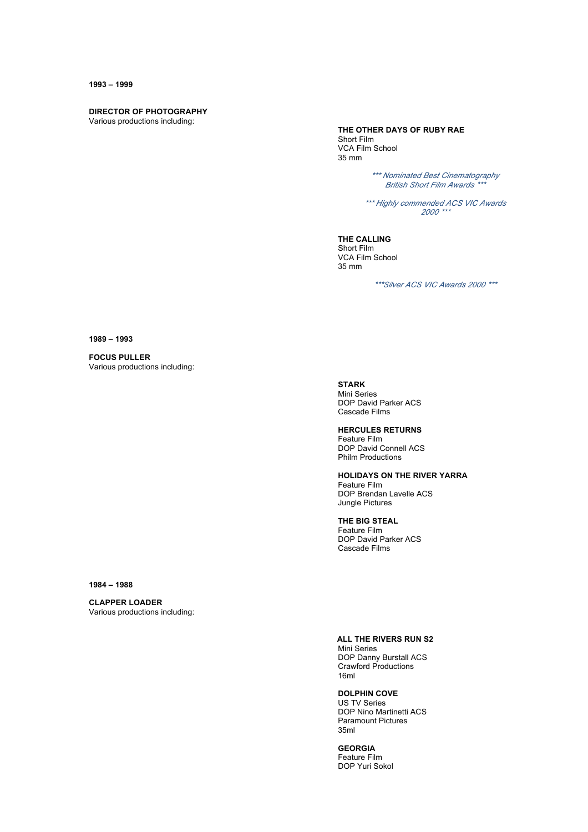#### **1993 – 1999**

### **DIRECTOR OF PHOTOGRAPHY**

Various productions including:

#### **THE OTHER DAYS OF RUBY RAE**

Short Film VCA Film School 35 mm

> *\*\*\* Nominated Best Cinematography British Short Film Awards \*\*\**

*\*\*\* Highly commended ACS VIC Awards 2000 \*\*\**

**THE CALLING** Short Film VCA Film School 35 mm

*\*\*\*Silver ACS VIC Awards 2000 \*\*\**

**1989 – 1993**

**FOCUS PULLER** Various productions including:

## **STARK**

Mini Series DOP David Parker ACS Cascade Films

#### **HERCULES RETURNS**

Feature Film DOP David Connell ACS Philm Productions

#### **HOLIDAYS ON THE RIVER YARRA**

Feature Film DOP Brendan Lavelle ACS Jungle Pictures

#### **THE BIG STEAL**

Feature Film DOP David Parker ACS Cascade Films

**1984 – 1988**

# **CLAPPER LOADER**

Various productions including:

#### **ALL THE RIVERS RUN S2**

Mini Series DOP Danny Burstall ACS Crawford Productions 16ml

#### **DOLPHIN COVE**

US TV Series DOP Nino Martinetti ACS Paramount Pictures 35ml

**GEORGIA** Feature Film DOP Yuri Sokol